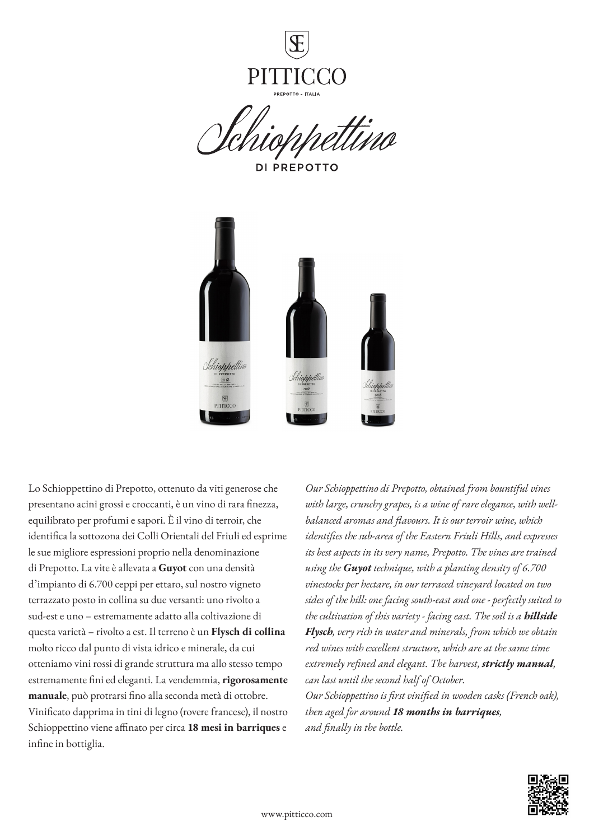

**DI PREPOTTO** 



Lo Schioppettino di Prepotto, ottenuto da viti generose che presentano acini grossi e croccanti, è un vino di rara finezza, equilibrato per profumi e sapori. È il vino di terroir, che identifica la sottozona dei Colli Orientali del Friuli ed esprime le sue migliore espressioni proprio nella denominazione di Prepotto. La vite è allevata a **Guyot** con una densità d'impianto di 6.700 ceppi per ettaro, sul nostro vigneto terrazzato posto in collina su due versanti: uno rivolto a sud-est e uno – estremamente adatto alla coltivazione di questa varietà – rivolto a est. Il terreno è un **Flysch di collina** molto ricco dal punto di vista idrico e minerale, da cui otteniamo vini rossi di grande struttura ma allo stesso tempo estremamente fini ed eleganti. La vendemmia, **rigorosamente manuale**, può protrarsi fino alla seconda metà di ottobre. Vinificato dapprima in tini di legno (rovere francese), il nostro Schioppettino viene affinato per circa **18 mesi in barriques** e infine in bottiglia.

*Our Schioppettino di Prepotto, obtained from bountiful vines with large, crunchy grapes, is a wine of rare elegance, with wellbalanced aromas and flavours. It is our terroir wine, which identifies the sub-area of the Eastern Friuli Hills, and expresses its best aspects in its very name, Prepotto. The vines are trained using the Guyot technique, with a planting density of 6.700 vinestocks per hectare, in our terraced vineyard located on two sides of the hill: one facing south-east and one - perfectly suited to the cultivation of this variety - facing east. The soil is a hillside Flysch, very rich in water and minerals, from which we obtain red wines with excellent structure, which are at the same time extremely refined and elegant. The harvest, strictly manual, can last until the second half of October. Our Schioppettino is first vinified in wooden casks (French oak),* 

*then aged for around 18 months in barriques, and finally in the bottle.* 

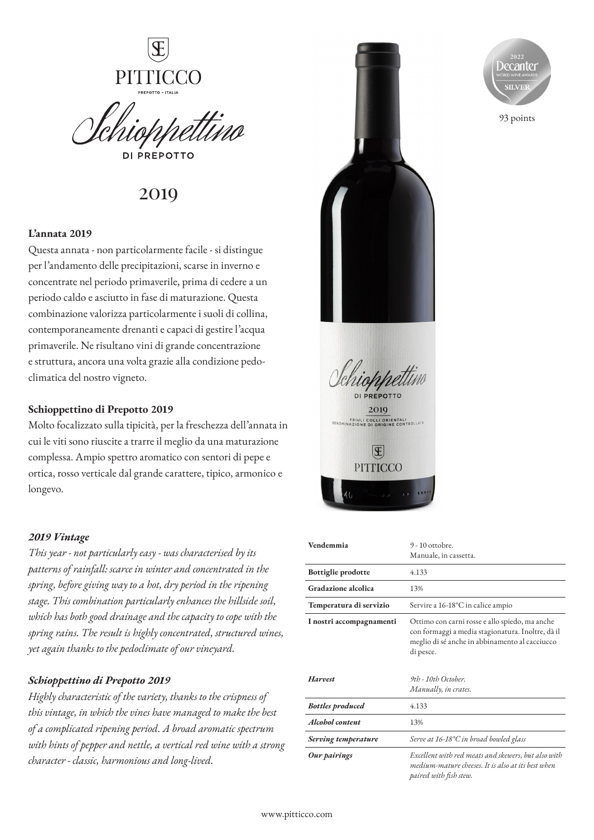

**DI PREPOTTO** 

# 2019

## **L'annata 2019**

Questa annata - non particolarmente facile - si distingue per l'andamento delle precipitazioni, scarse in inverno e concentrate nel periodo primaverile, prima di cedere a un periodo caldo e asciutto in fase di maturazione. Questa combinazione valorizza particolarmente i suoli di collina, contemporaneamente drenanti e capaci di gestire l'acqua primaverile. Ne risultano vini di grande concentrazione e struttura, ancora una volta grazie alla condizione pedoclimatica del nostro vigneto.

### **Schioppettino di Prepotto 2019**

Molto focalizzato sulla tipicità, per la freschezza dell'annata in cui le viti sono riuscite a trarre il meglio da una maturazione complessa. Ampio spettro aromatico con sentori di pepe e ortica, rosso verticale dal grande carattere, tipico, armonico e longevo.

## *2019 Vintage*

*This year - not particularly easy - was characterised by its patterns of rainfall: scarce in winter and concentrated in the spring, before giving way to a hot, dry period in the ripening stage. This combination particularly enhances the hillside soil, which has both good drainage and the capacity to cope with the spring rains. The result is highly concentrated, structured wines, yet again thanks to the pedoclimate of our vineyard.*

# *Schioppettino di Prepotto 2019*

*Highly characteristic of the variety, thanks to the crispness of this vintage, in which the vines have managed to make the best of a complicated ripening period. A broad aromatic spectrum with hints of pepper and nettle, a vertical red wine with a strong character - classic, harmonious and long-lived.*





93 points

| Vendemmia                 | $9 - 10$ ottobre.                                                                                                                                                  |
|---------------------------|--------------------------------------------------------------------------------------------------------------------------------------------------------------------|
|                           | Manuale, in cassetta.                                                                                                                                              |
| <b>Bottiglie prodotte</b> | 4.133                                                                                                                                                              |
| Gradazione alcolica       | 13%                                                                                                                                                                |
| Temperatura di servizio   | Servire a 16-18°C in calice ampio                                                                                                                                  |
| I nostri accompagnamenti  | Ottimo con carni rosse e allo spiedo, ma anche<br>con formaggi a media stagionatura. Inoltre, dà il<br>meglio di sé anche in abbinamento al cacciucco<br>di pesce. |
| Harvest                   | 9th - 10th October.<br>Manually, in crates.                                                                                                                        |
| <b>Bottles produced</b>   | 4.133                                                                                                                                                              |
| Alcohol content           | 13%                                                                                                                                                                |
| Serving temperature       | Serve at 16-18°C in broad bowled glass                                                                                                                             |
| Our pairings              | Excellent with red meats and skewers, but also with<br>medium-mature cheeses. It is also at its best when                                                          |

*paired with fish stew.*